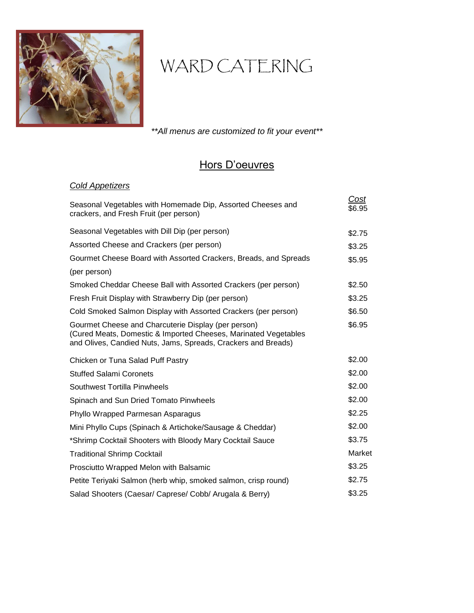

# WARD CATERING

*\*\*All menus are customized to fit your event\*\**

# Hors D'oeuvres

# *Cold Appetizers*

| Seasonal Vegetables with Homemade Dip, Assorted Cheeses and<br>crackers, and Fresh Fruit (per person)                                                                                   | Cost<br>\$6.95 |
|-----------------------------------------------------------------------------------------------------------------------------------------------------------------------------------------|----------------|
| Seasonal Vegetables with Dill Dip (per person)                                                                                                                                          | \$2.75         |
| Assorted Cheese and Crackers (per person)                                                                                                                                               | \$3.25         |
| Gourmet Cheese Board with Assorted Crackers, Breads, and Spreads                                                                                                                        | \$5.95         |
| (per person)                                                                                                                                                                            |                |
| Smoked Cheddar Cheese Ball with Assorted Crackers (per person)                                                                                                                          | \$2.50         |
| Fresh Fruit Display with Strawberry Dip (per person)                                                                                                                                    | \$3.25         |
| Cold Smoked Salmon Display with Assorted Crackers (per person)                                                                                                                          | \$6.50         |
| Gourmet Cheese and Charcuterie Display (per person)<br>(Cured Meats, Domestic & Imported Cheeses, Marinated Vegetables<br>and Olives, Candied Nuts, Jams, Spreads, Crackers and Breads) | \$6.95         |
| Chicken or Tuna Salad Puff Pastry                                                                                                                                                       | \$2.00         |
| <b>Stuffed Salami Coronets</b>                                                                                                                                                          | \$2.00         |
| Southwest Tortilla Pinwheels                                                                                                                                                            | \$2.00         |
| Spinach and Sun Dried Tomato Pinwheels                                                                                                                                                  | \$2.00         |
| Phyllo Wrapped Parmesan Asparagus                                                                                                                                                       | \$2.25         |
| Mini Phyllo Cups (Spinach & Artichoke/Sausage & Cheddar)                                                                                                                                | \$2.00         |
| *Shrimp Cocktail Shooters with Bloody Mary Cocktail Sauce                                                                                                                               | \$3.75         |
| <b>Traditional Shrimp Cocktail</b>                                                                                                                                                      | Market         |
| Prosciutto Wrapped Melon with Balsamic                                                                                                                                                  | \$3.25         |
| Petite Teriyaki Salmon (herb whip, smoked salmon, crisp round)                                                                                                                          | \$2.75         |
| Salad Shooters (Caesar/ Caprese/ Cobb/ Arugala & Berry)                                                                                                                                 | \$3.25         |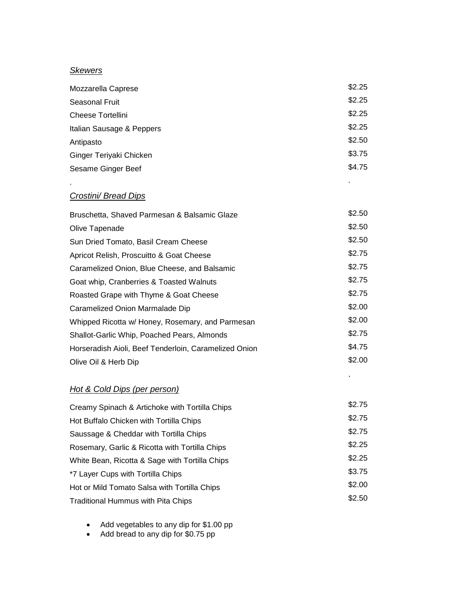#### *Skewers*

.

| Mozzarella Caprese        | \$2.25 |
|---------------------------|--------|
| <b>Seasonal Fruit</b>     | \$2.25 |
| Cheese Tortellini         | \$2.25 |
| Italian Sausage & Peppers | \$2.25 |
| Antipasto                 | \$2.50 |
| Ginger Teriyaki Chicken   | \$3.75 |
| Sesame Ginger Beef        | \$4.75 |

.

.

# *Crostini/ Bread Dips*

| \$2.50 |
|--------|
| \$2.50 |
| \$2.50 |
| \$2.75 |
| \$2.75 |
| \$2.75 |
| \$2.75 |
| \$2.00 |
| \$2.00 |
| \$2.75 |
| \$4.75 |
| \$2.00 |
|        |

# *Hot & Cold Dips (per person)*

| Creamy Spinach & Artichoke with Tortilla Chips | \$2.75 |
|------------------------------------------------|--------|
| Hot Buffalo Chicken with Tortilla Chips        | \$2.75 |
| Saussage & Cheddar with Tortilla Chips         | \$2.75 |
| Rosemary, Garlic & Ricotta with Tortilla Chips | \$2.25 |
| White Bean, Ricotta & Sage with Tortilla Chips | \$2.25 |
| *7 Layer Cups with Tortilla Chips              | \$3.75 |
| Hot or Mild Tomato Salsa with Tortilla Chips   | \$2.00 |
| <b>Traditional Hummus with Pita Chips</b>      | \$2.50 |

- Add vegetables to any dip for \$1.00 pp
	- Add bread to any dip for \$0.75 pp